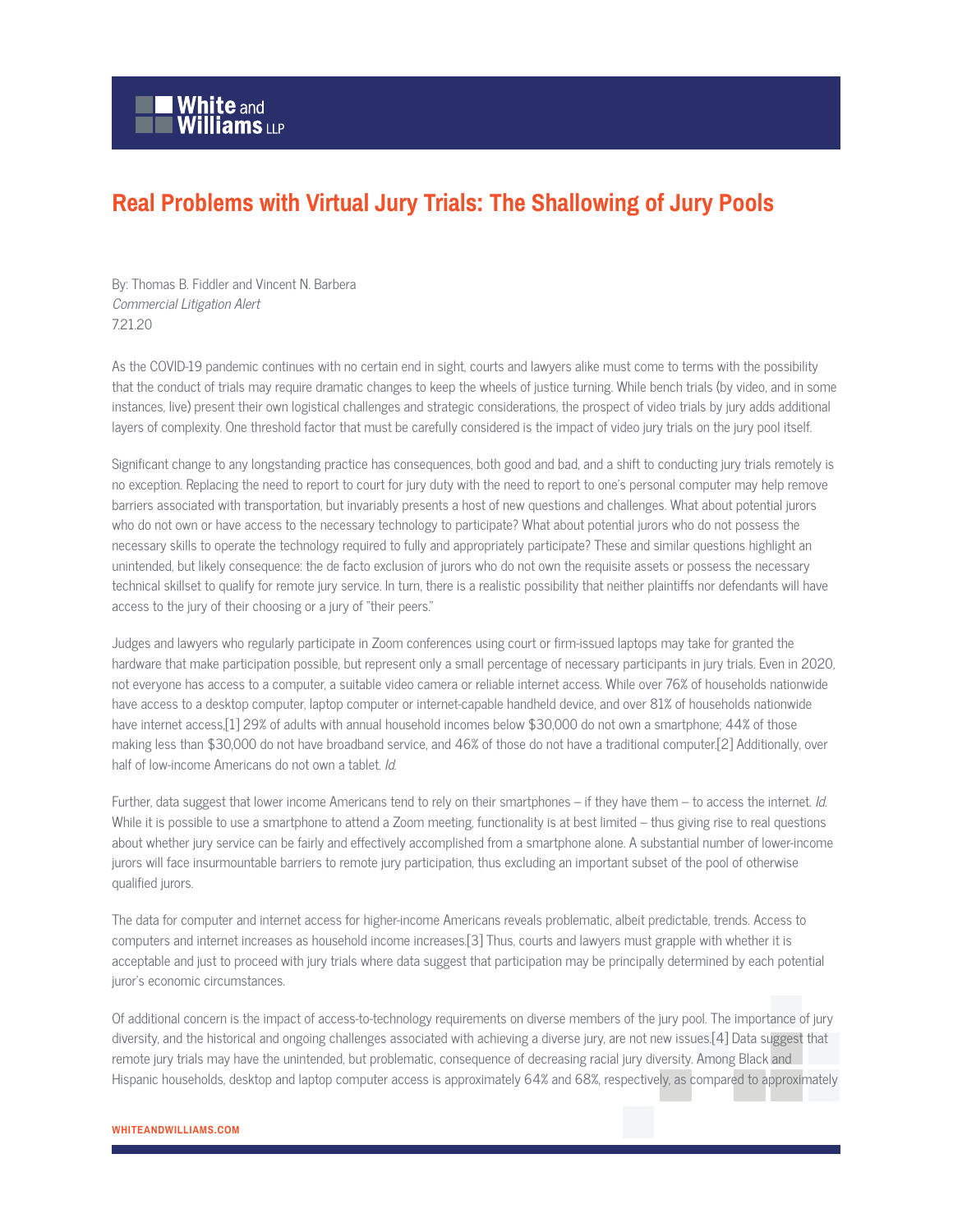## **Real Problems with Virtual Jury Trials: The Shallowing of Jury Pools**

By: Thomas B. Fiddler and Vincent N. Barbera Commercial Litigation Alert 7.21.20

As the COVID-19 pandemic continues with no certain end in sight, courts and lawyers alike must come to terms with the possibility that the conduct of trials may require dramatic changes to keep the wheels of justice turning. While bench trials (by video, and in some instances, live) present their own logistical challenges and strategic considerations, the prospect of video trials by jury adds additional layers of complexity. One threshold factor that must be carefully considered is the impact of video jury trials on the jury pool itself.

Significant change to any longstanding practice has consequences, both good and bad, and a shift to conducting jury trials remotely is no exception. Replacing the need to report to court for jury duty with the need to report to one's personal computer may help remove barriers associated with transportation, but invariably presents a host of new questions and challenges. What about potential jurors who do not own or have access to the necessary technology to participate? What about potential jurors who do not possess the necessary skills to operate the technology required to fully and appropriately participate? These and similar questions highlight an unintended, but likely consequence: the de facto exclusion of jurors who do not own the requisite assets or possess the necessary technical skillset to qualify for remote jury service. In turn, there is a realistic possibility that neither plaintiffs nor defendants will have access to the jury of their choosing or a jury of "their peers."

Judges and lawyers who regularly participate in Zoom conferences using court or firm-issued laptops may take for granted the hardware that make participation possible, but represent only a small percentage of necessary participants in jury trials. Even in 2020, not everyone has access to a computer, a suitable video camera or reliable internet access. While over 76% of households nationwide have access to a desktop computer, laptop computer or internet-capable handheld device, and over 81% of households nationwide have internet access,[1] 29% of adults with annual household incomes below \$30,000 do not own a smartphone; 44% of those making less than \$30,000 do not have broadband service, and 46% of those do not have a traditional computer.[2] Additionally, over half of low-income Americans do not own a tablet. Id.

Further, data suggest that lower income Americans tend to rely on their smartphones – if they have them – to access the internet. Id. While it is possible to use a smartphone to attend a Zoom meeting, functionality is at best limited – thus giving rise to real questions about whether jury service can be fairly and effectively accomplished from a smartphone alone. A substantial number of lower-income jurors will face insurmountable barriers to remote jury participation, thus excluding an important subset of the pool of otherwise qualified jurors.

The data for computer and internet access for higher-income Americans reveals problematic, albeit predictable, trends. Access to computers and internet increases as household income increases.[3] Thus, courts and lawyers must grapple with whether it is acceptable and just to proceed with jury trials where data suggest that participation may be principally determined by each potential juror's economic circumstances.

Of additional concern is the impact of access-to-technology requirements on diverse members of the jury pool. The importance of jury diversity, and the historical and ongoing challenges associated with achieving a diverse jury, are not new issues.[4] Data suggest that remote jury trials may have the unintended, but problematic, consequence of decreasing racial jury diversity. Among Black and Hispanic households, desktop and laptop computer access is approximately 64% and 68%, respectively, as compared to approximately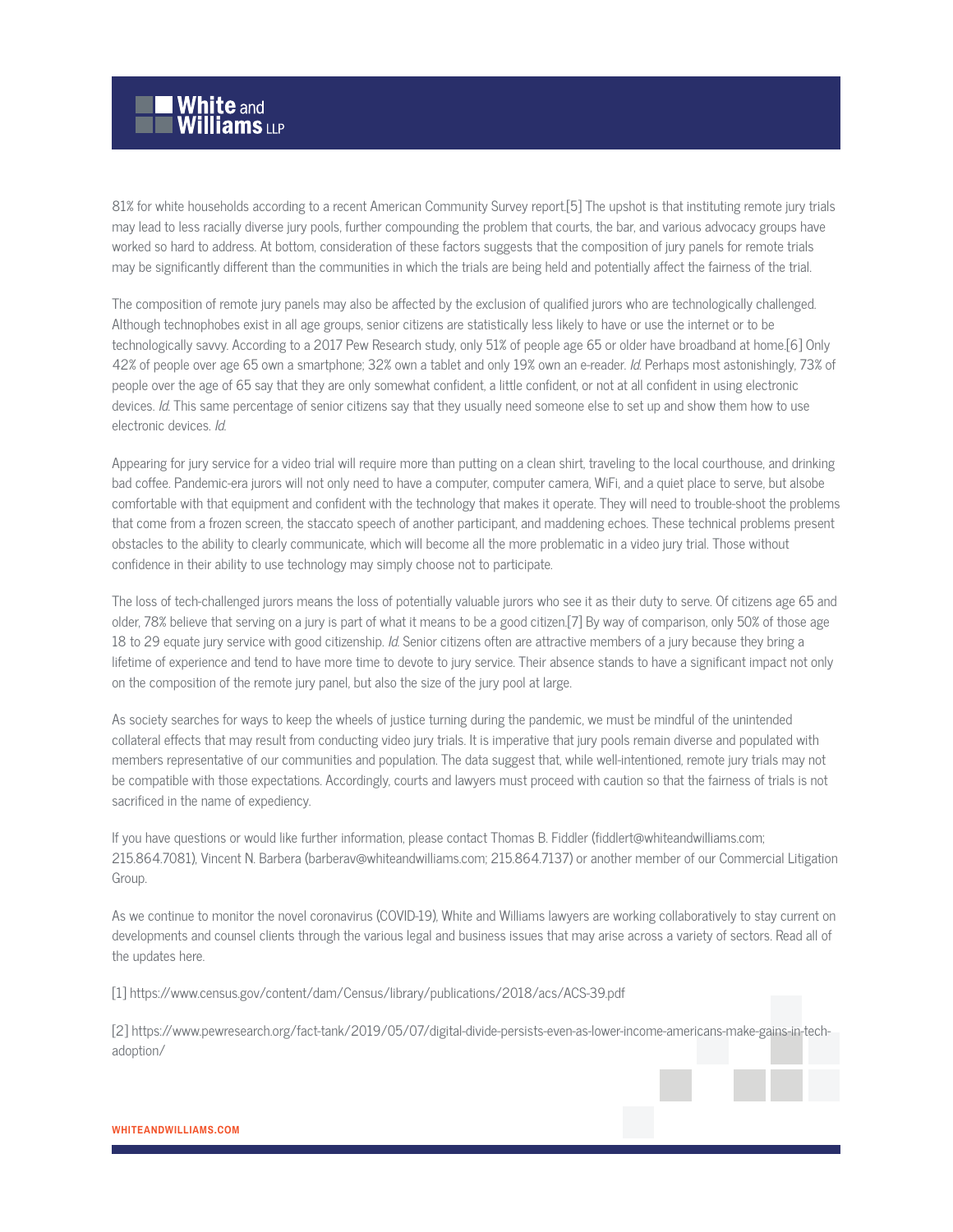

81% for white households according to a recent American Community Survey report.[5] The upshot is that instituting remote jury trials may lead to less racially diverse jury pools, further compounding the problem that courts, the bar, and various advocacy groups have worked so hard to address. At bottom, consideration of these factors suggests that the composition of jury panels for remote trials may be significantly different than the communities in which the trials are being held and potentially affect the fairness of the trial.

The composition of remote jury panels may also be affected by the exclusion of qualified jurors who are technologically challenged. Although technophobes exist in all age groups, senior citizens are statistically less likely to have or use the internet or to be technologically savvy. According to a 2017 Pew Research study, only 51% of people age 65 or older have broadband at home.[6] Only 42% of people over age 65 own a smartphone; 32% own a tablet and only 19% own an e-reader. Id. Perhaps most astonishingly, 73% of people over the age of 65 say that they are only somewhat confident, a little confident, or not at all confident in using electronic devices. Id. This same percentage of senior citizens say that they usually need someone else to set up and show them how to use electronic devices. Id.

Appearing for jury service for a video trial will require more than putting on a clean shirt, traveling to the local courthouse, and drinking bad coffee. Pandemic-era jurors will not only need to have a computer, computer camera, WiFi, and a quiet place to serve, but alsobe comfortable with that equipment and confident with the technology that makes it operate. They will need to trouble-shoot the problems that come from a frozen screen, the staccato speech of another participant, and maddening echoes. These technical problems present obstacles to the ability to clearly communicate, which will become all the more problematic in a video jury trial. Those without confidence in their ability to use technology may simply choose not to participate.

The loss of tech-challenged jurors means the loss of potentially valuable jurors who see it as their duty to serve. Of citizens age 65 and older, 78% believe that serving on a jury is part of what it means to be a good citizen.[7] By way of comparison, only 50% of those age 18 to 29 equate jury service with good citizenship. Id. Senior citizens often are attractive members of a jury because they bring a lifetime of experience and tend to have more time to devote to jury service. Their absence stands to have a significant impact not only on the composition of the remote jury panel, but also the size of the jury pool at large.

As society searches for ways to keep the wheels of justice turning during the pandemic, we must be mindful of the unintended collateral effects that may result from conducting video jury trials. It is imperative that jury pools remain diverse and populated with members representative of our communities and population. The data suggest that, while well-intentioned, remote jury trials may not be compatible with those expectations. Accordingly, courts and lawyers must proceed with caution so that the fairness of trials is not sacrificed in the name of expediency.

If you have questions or would like further information, please contact Thomas B. Fiddler (fiddlert@whiteandwilliams.com; 215.864.7081), Vincent N. Barbera (barberav@whiteandwilliams.com; 215.864.7137) or another member of our Commercial Litigation Group.

As we continue to monitor the novel coronavirus (COVID-19), White and Williams lawyers are working collaboratively to stay current on developments and counsel clients through the various legal and business issues that may arise across a variety of sectors. Read all of the updates here.

[1] https://www.census.gov/content/dam/Census/library/publications/2018/acs/ACS-39.pdf

[2] https://www.pewresearch.org/fact-tank/2019/05/07/digital-divide-persists-even-as-lower-income-americans-make-gains-in-techadoption/